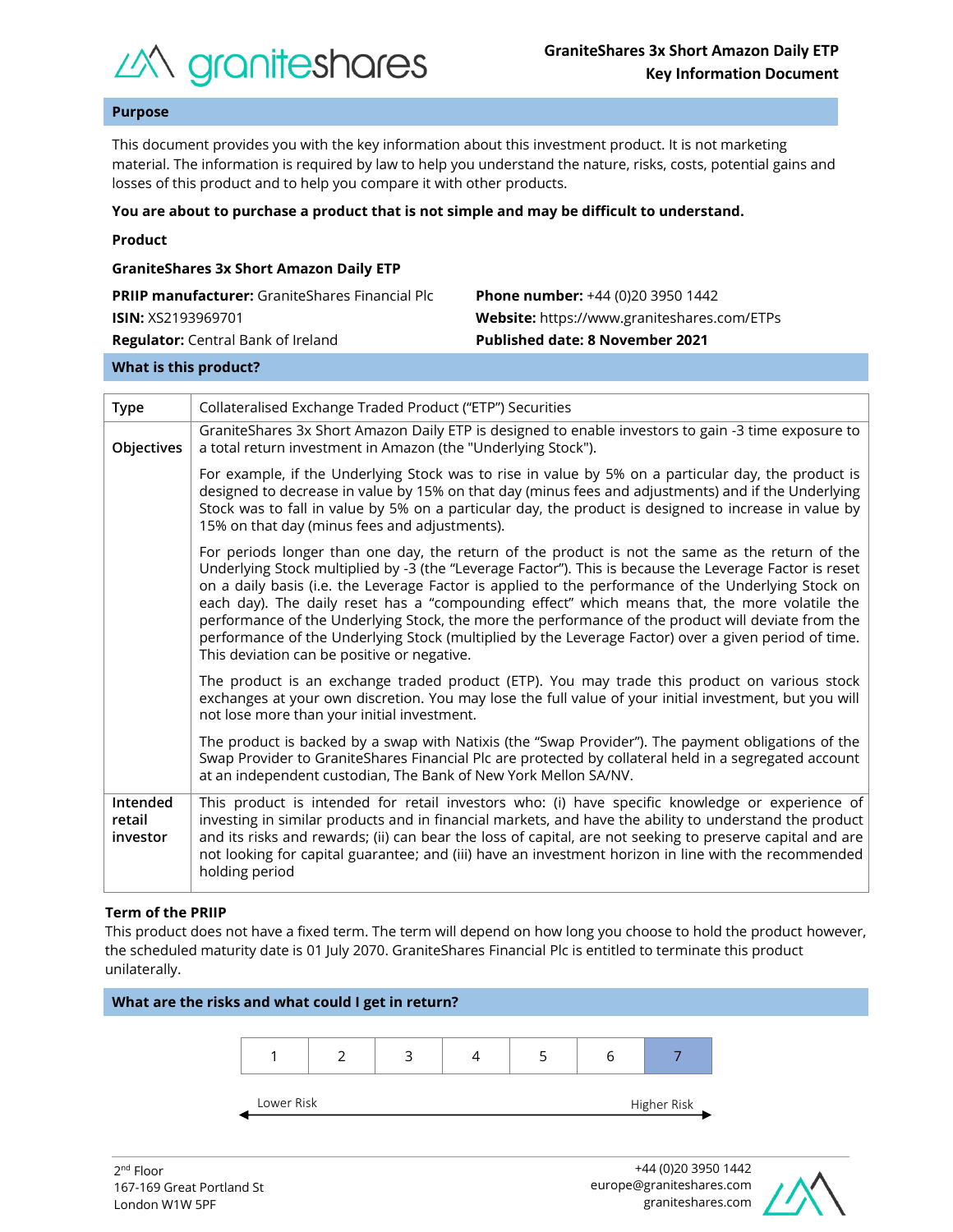

## **Purpose**

This document provides you with the key information about this investment product. It is not marketing material. The information is required by law to help you understand the nature, risks, costs, potential gains and losses of this product and to help you compare it with other products.

#### **You are about to purchase a product that is not simple and may be difficult to understand.**

|  | Product |  |
|--|---------|--|
|  |         |  |

| <b>GraniteShares 3x Short Amazon Daily ETP</b>         |                                             |  |  |  |  |
|--------------------------------------------------------|---------------------------------------------|--|--|--|--|
| <b>PRIIP manufacturer:</b> GraniteShares Financial Plc | <b>Phone number:</b> +44 (0)20 3950 1442    |  |  |  |  |
| <b>ISIN: XS2193969701</b>                              | Website: https://www.graniteshares.com/ETPs |  |  |  |  |
| <b>Regulator:</b> Central Bank of Ireland              | <b>Published date: 8 November 2021</b>      |  |  |  |  |
|                                                        |                                             |  |  |  |  |

#### **What is this product?**

| <b>Type</b>                    | Collateralised Exchange Traded Product ("ETP") Securities                                                                                                                                                                                                                                                                                                                                                                                                                                                                                                                                                                                                                       |  |  |  |
|--------------------------------|---------------------------------------------------------------------------------------------------------------------------------------------------------------------------------------------------------------------------------------------------------------------------------------------------------------------------------------------------------------------------------------------------------------------------------------------------------------------------------------------------------------------------------------------------------------------------------------------------------------------------------------------------------------------------------|--|--|--|
| Objectives                     | GraniteShares 3x Short Amazon Daily ETP is designed to enable investors to gain -3 time exposure to<br>a total return investment in Amazon (the "Underlying Stock").                                                                                                                                                                                                                                                                                                                                                                                                                                                                                                            |  |  |  |
|                                | For example, if the Underlying Stock was to rise in value by 5% on a particular day, the product is<br>designed to decrease in value by 15% on that day (minus fees and adjustments) and if the Underlying<br>Stock was to fall in value by 5% on a particular day, the product is designed to increase in value by<br>15% on that day (minus fees and adjustments).                                                                                                                                                                                                                                                                                                            |  |  |  |
|                                | For periods longer than one day, the return of the product is not the same as the return of the<br>Underlying Stock multiplied by -3 (the "Leverage Factor"). This is because the Leverage Factor is reset<br>on a daily basis (i.e. the Leverage Factor is applied to the performance of the Underlying Stock on<br>each day). The daily reset has a "compounding effect" which means that, the more volatile the<br>performance of the Underlying Stock, the more the performance of the product will deviate from the<br>performance of the Underlying Stock (multiplied by the Leverage Factor) over a given period of time.<br>This deviation can be positive or negative. |  |  |  |
|                                | The product is an exchange traded product (ETP). You may trade this product on various stock<br>exchanges at your own discretion. You may lose the full value of your initial investment, but you will<br>not lose more than your initial investment.                                                                                                                                                                                                                                                                                                                                                                                                                           |  |  |  |
|                                | The product is backed by a swap with Natixis (the "Swap Provider"). The payment obligations of the<br>Swap Provider to GraniteShares Financial Plc are protected by collateral held in a segregated account<br>at an independent custodian, The Bank of New York Mellon SA/NV.                                                                                                                                                                                                                                                                                                                                                                                                  |  |  |  |
| Intended<br>retail<br>investor | This product is intended for retail investors who: (i) have specific knowledge or experience of<br>investing in similar products and in financial markets, and have the ability to understand the product<br>and its risks and rewards; (ii) can bear the loss of capital, are not seeking to preserve capital and are<br>not looking for capital guarantee; and (iii) have an investment horizon in line with the recommended<br>holding period                                                                                                                                                                                                                                |  |  |  |

#### **Term of the PRIIP**

This product does not have a fixed term. The term will depend on how long you choose to hold the product however, the scheduled maturity date is 01 July 2070. GraniteShares Financial Plc is entitled to terminate this product unilaterally.



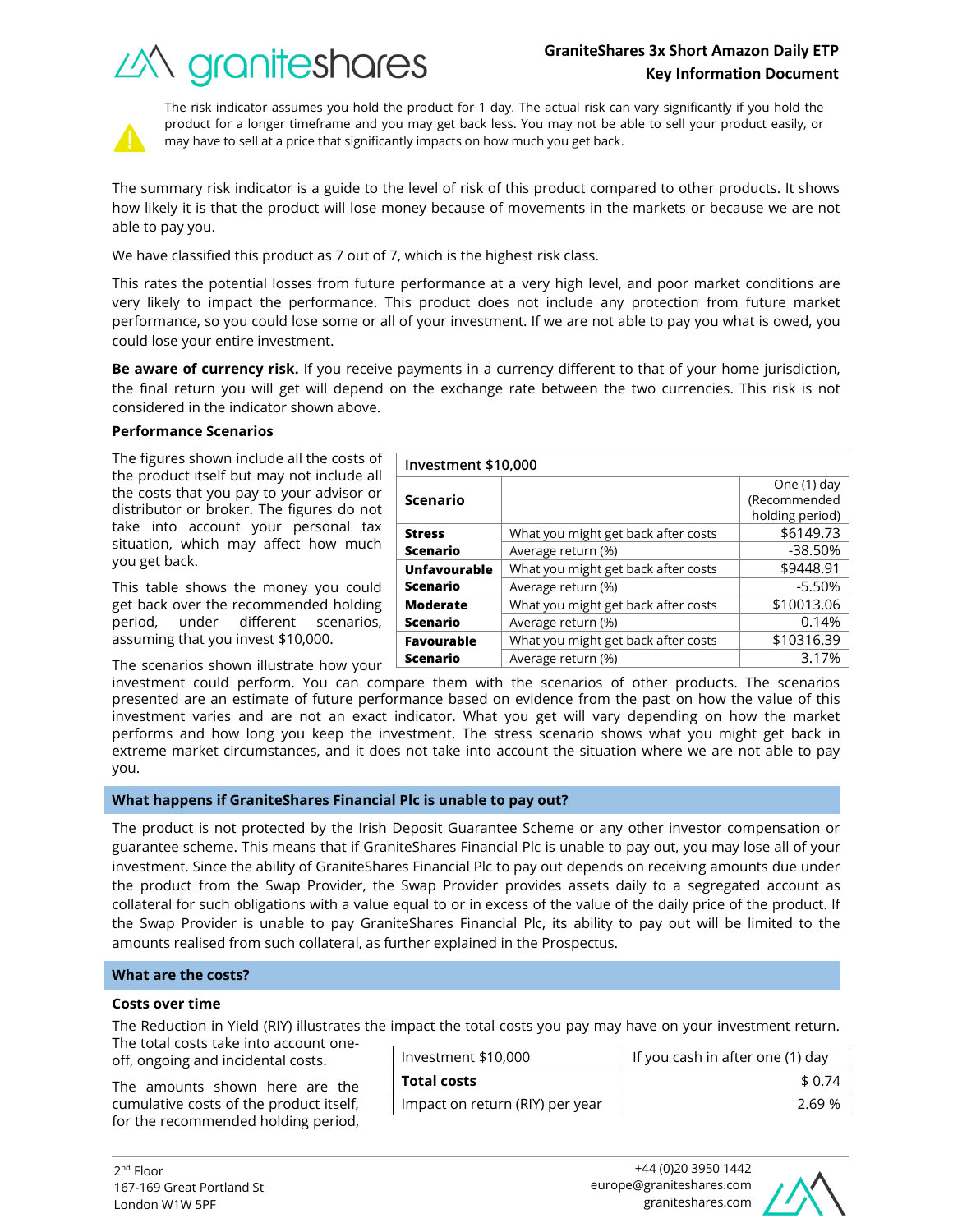# **GraniteShares 3x Short Amazon Daily ETP Key Information Document**

What you might get back after costs  $\sim$  \$6149.73 Average return (%) and the set of the set of the set of the set of the set of the set of the set of the set of the set of the set of the set of the set of the set of the set of the set of the set of the set of the set of t

What you might get back after costs | \$9448.91 Average return (%) and the set of the set of the set of the set of the set of the set of the set of the set of the set of the set of the set of the set of the set of the set of the set of the set of the set of the set of t

What you might get back after costs  $\vert$  \$10013.06





The risk indicator assumes you hold the product for 1 day. The actual risk can vary significantly if you hold the product for a longer timeframe and you may get back less. You may not be able to sell your product easily, or may have to sell at a price that significantly impacts on how much you get back.

The summary risk indicator is a guide to the level of risk of this product compared to other products. It shows how likely it is that the product will lose money because of movements in the markets or because we are not able to pay you.

We have classified this product as 7 out of 7, which is the highest risk class.

This rates the potential losses from future performance at a very high level, and poor market conditions are very likely to impact the performance. This product does not include any protection from future market performance, so you could lose some or all of your investment. If we are not able to pay you what is owed, you could lose your entire investment.

**Be aware of currency risk.** If you receive payments in a currency different to that of your home jurisdiction, the final return you will get will depend on the exchange rate between the two currencies. This risk is not considered in the indicator shown above.

**Investment \$10,000**

**Scenario**

**Unfavourable Scenario**

**Moderate** 

**Stress Scenario**

## **Performance Scenarios**

The figures shown include all the costs of the product itself but may not include all the costs that you pay to your advisor or distributor or broker. The figures do not take into account your personal tax situation, which may affect how much you get back.

This table shows the money you could get back over the recommended holding period, under different scenarios, assuming that you invest \$10,000.

The scenarios shown illustrate how your

investment could perform. You can compare them with the scenarios of other products. The scenarios presented are an estimate of future performance based on evidence from the past on how the value of this investment varies and are not an exact indicator. What you get will vary depending on how the market performs and how long you keep the investment. The stress scenario shows what you might get back in extreme market circumstances, and it does not take into account the situation where we are not able to pay **Scenario** Average return (%) and the control of the control of  $\sim 0.14\%$ **Favourable Scenario** What you might get back after costs  $\vert$  \$10316.39 Average return (%) 3.17%

you.

## **What happens if GraniteShares Financial Plc is unable to pay out?**

The product is not protected by the Irish Deposit Guarantee Scheme or any other investor compensation or guarantee scheme. This means that if GraniteShares Financial Plc is unable to pay out, you may lose all of your investment. Since the ability of GraniteShares Financial Plc to pay out depends on receiving amounts due under the product from the Swap Provider, the Swap Provider provides assets daily to a segregated account as collateral for such obligations with a value equal to or in excess of the value of the daily price of the product. If the Swap Provider is unable to pay GraniteShares Financial Plc, its ability to pay out will be limited to the amounts realised from such collateral, as further explained in the Prospectus.

## **What are the costs?**

#### **Costs over time**

The Reduction in Yield (RIY) illustrates the impact the total costs you pay may have on your investment return.

The total costs take into account oneoff, ongoing and incidental costs.

The amounts shown here are the cumulative costs of the product itself, for the recommended holding period,

| Investment \$10,000             | If you cash in after one (1) day |  |
|---------------------------------|----------------------------------|--|
| <b>Total costs</b>              | \$ 0.74                          |  |
| Impact on return (RIY) per year | 269%                             |  |



One (1) day (Recommended holding period)